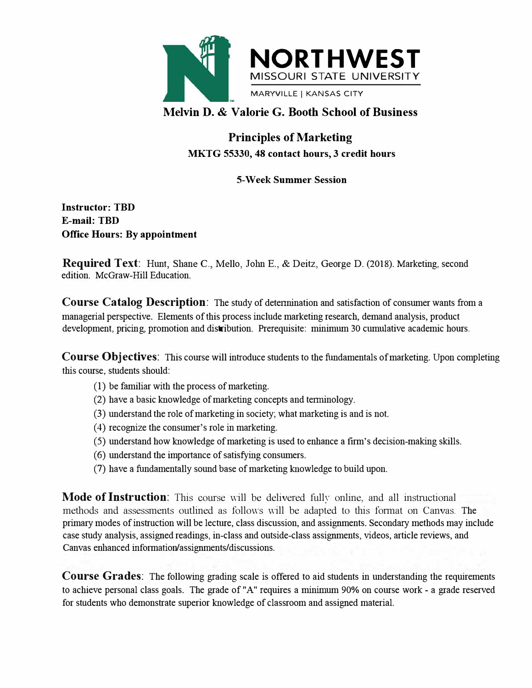

## **Melvin D. & Valorie G. Booth School of Business**

# **Principles of Marketing MKTG 55330, 48 contact hours, 3 credit hours**

### **5-Week Summer Session**

**Instructor: TBD E-mail: TBD Office Hours: By appointment**

**Required Text:** Hunt, Shane C., Mello, John E., & Deitz, George D. (2018). Marketing, second edition. McGraw-Hill Education.

**Course Catalog Description:** The study of detennination and satisfaction of consumer wants from a managerial perspective. Elements of this process include marketing research, demand analysis, product development, pricing, promotion and distribution. Prerequisite: minimum 30 cumulative academic hours.

**Course Objectives:** This course will introduce students to the fundamentals of marketing. Upon completing this course, students should:

- (1) be familiar with the process of marketing.
- (2) have a basic knowledge of marketing concepts and tenninology.
- (3) understand the role of marketing in society; what marketing is and is not.
- ( 4) recognize the consumer's role in marketing.
- (5) understand how knowledge of marketing is used to enhance a firm's decision-making skills.
- (6) understand the importance of satisfying consumers.
- (7) have a fundamentally sound base of marketing knowledge to build upon.

**Mode of Instruction:** This course will be delivered fully online, and all instructional methods and assessments outlined as follows will be adapted to this format on Canvas. The primary modes of instruction will be lectme, class discussion, and assignments. Secondary methods may include case study analysis, assigned readings, in-class and outside-class assignments, videos, article reviews, and Canvas enhanced information/assignments/discussions.

**Course Grades:** The following grading scale is offered to aid students in understanding the requirements to achieve personal class goals. The grade of "A" requires a minimum 90% on comse work - a grade reserved for students who demonstrate superior knowledge of classroom and assigned material.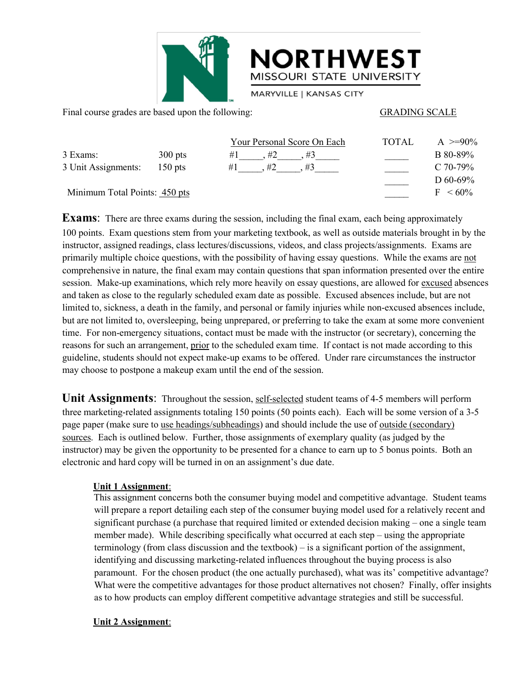

|                                                   |           | <b>NORTHWEST</b><br>MISSOURI STATE UNIVERSITY<br>MARYVILLE   KANSAS CITY                                                                                                                                                     |                      |            |
|---------------------------------------------------|-----------|------------------------------------------------------------------------------------------------------------------------------------------------------------------------------------------------------------------------------|----------------------|------------|
| Final course grades are based upon the following: |           |                                                                                                                                                                                                                              | <b>GRADING SCALE</b> |            |
|                                                   |           | Your Personal Score On Each                                                                                                                                                                                                  | <b>TOTAL</b>         | A $>=90\%$ |
| 3 Exams:                                          | $300$ pts | #1<br>$, \#2 \qquad , \#3$                                                                                                                                                                                                   |                      | B 80-89%   |
| 3 Unit Assignments:                               | $150$ pts | $, #2$ $, #3$<br>#1                                                                                                                                                                                                          |                      | C 70-79%   |
|                                                   |           |                                                                                                                                                                                                                              |                      | D 60-69%   |
| Minimum Total Points: 450 pts                     |           | $F < 60\%$                                                                                                                                                                                                                   |                      |            |
|                                                   |           | Exams: There are three exams during the session, including the final exam, each being approximately                                                                                                                          |                      |            |
|                                                   |           | 100 points. Exam questions stem from your marketing textbook, as well as outside materials brought in by the<br>instructor, assigned readings, class lectures/discussions, videos, and class projects/assignments. Exams are |                      |            |
|                                                   |           | primarily multiple choice questions, with the possibility of having essay questions. While the exams are not                                                                                                                 |                      |            |

**100 points.** Exams. There are three exams during the session, including the final exam questions. We say to consider the material of the material of the material of the material of the material points. There are three ex Final course grades are based upon the following:<br>
3 Exams:<br>
3 Unit Assignments:<br>
3 Unit Assignments:<br>
150 pts<br>  $\#1$ ,  $\#2$ ,  $\#3$ <br>  $\#3$ <br>  $\#4$ <br>  $\#4$ ,  $\#3$ <br>  $\#3$ <br>  $\#4$ <br>  $\#5$ <br>  $\#7$ <br>  $\#6$ <br>  $\#7$ <br>  $\#80-89%$ <br>  $\#80-$ **Exams:** 300 pts  $\frac{Y_{\text{Our Personal Score ON Each}}}{#1 \_ \#2 \_ \#3}$   $\frac{Y_{\text{Our Personal Score ON Each}}}{#2 \_ \#3 \_ \#3}$  B 80-89%  $\frac{80-89\%}{20-70-79\%}$  B 80-89%  $\frac{1}{1 \_ \#2 \_ \#3}$   $\frac{1}{1 \_ \#2 \_ \#3}$   $\frac{1}{1 \_ \#2 \_ \#3}$   $\frac{1}{1 \_ \#2 \_ \#3}$   $\frac{1}{1 \_ \#2 \_ \#3}$ 3 Exams: 300 pts  $\frac{Y_{\text{Our}} P_{\text{resonal}} \cdot \text{Score On} \cdot \text{Each}}{H_1 \cdot \text{B}} = \frac{W_{\text{max}}}{W_{\text{max}}}$  and  $W_{\text{min}}$  and  $W_{\text{min}}$  and  $W_{\text{min}}$  and  $W_{\text{min}}$  and  $W_{\text{min}}$  and  $W_{\text{min}}$  and  $W_{\text{min}}$  and  $W_{\text{min}}$  and  $W_{\text{min}}$  and  $W_{\text{min$ 3 Exams: 300 pts  $\begin{array}{ll}\n & \text{Your Personal Score On Each} \\
\hline\n\end{array}\n\end{array}$  TOTAL A  $\geq -90\%$ <br>
3 Unit Assignments: 150 pts  $\begin{array}{ll}\n\hline\n\end{array}$   $\begin{array}{ll}\n\hline\n\end{array}$   $\begin{array}{ll}\n\hline\n\end{array}$  B8 0-89%<br>
Minimum Total Points. <u>450 pts</u>  $\begin{array}{ll}\n\hline\n\end{array$ 3 Exams: 300 pts  $\#1$ ,  $\#2$ ,  $\#3$ ,  $\#3$  and  $\#7$  and  $\#7$  and  $\#80-89\%$ <br>
3 Unit Assignments: 150 pts  $\#1$ ,  $\#2$ ,  $\#3$  and  $\#5$  and  $\#7$  and  $\#6$  and  $\#7$  and  $\#80-69\%$ <br> **Exams:** There are three exams duri 3 Unit Assignments: 150 pts  $\#1$ ,  $\#2$ ,  $\#3$ ,  $\#3$ ,  $\#3$ ,  $\#4$ ,  $\#5$  D 60-69% D 60-69% C Minimum Total Points: 450 pts  $\#1$ ,  $\#2$ ,  $\#3$ ,  $\#5$  and  $\#6$  absorption of  $\#7$   $\leq 60\%$  Examms: There are three exa **Exams:** Total Points:  $450 \text{ pts}$ <br> **Exams:** There are three exams during the session, including the final exam, each being approximately<br>
100 points. Exam questions stem from your marketing textbook, as well as outside ma Minimum Total Points:  $\frac{450 \text{ pts}}{100 \text{ }\text{F}}$  = 60%<br> **Exams:** There are three exams during the session, including the final exam, each being approximately<br>
100 points. Exam questions stem from your marketing textbook, a **Exams:** There are three exams during the session, including the final exam, each being approximately 100 points. Exam questions stem from your marketing textbook, as well as outside materials brought in by the instructor, **Exams:** There are three exams during the session, including the final exam, each being approximately 100 points. Exam questions stem from your marketing textbook, as well as outside materials brought in by the instructor 100 points. Exam questions stem from your marketing textbook, as well as outside materials broug<br>instructor, assigned readings, class lectures/discussions, videos, and class projects/assignments. Ex<br>primarily multiple choi **Exams:** There are three exams during the session, including the final exam, each being approximately<br>
100 points. Exam questions stem from your marketing textbook, as well as outside materials brought in by the<br>
instructo comprehensive in nature, the final exam may contain questions that span information presented over the entire<br>session. Make-up examinations, which rely more heavily on essay questions, are allowed for <u>excused</u> assenses<br>an session. Make-up examinations, which rely more heavily on essay questions, are allowed for <u>excused</u> absences<br>and taken as close to the regularly scheduled exam date as possible. Excused absences include, but are not limit and taken as close to the regularly scheduled exam date as possible. Excused absences include, but are not limited to, sichenss, a death in the family, and personal or family injuries while non-excused absences include, bu

Imited to, sickness, a death in the family, and personal or family injuries while non-excused absences include,<br>but are not limited to, oversleeping, being unprepared, or preferring to take the exam at some more convenient but are not limited to, oversleeping, being unprepared, or preterring to take the exam at some more convertime. For non-emergency situations, contact must be made with the institutor (or secretary), concerning the rates an for such an arrangement, <u>prior</u> to the schedule<br>e, students should not expect make-up exams to<br>ose to postpone a makeup exam until the end<br>**Assignments**: Throughout the session, <u>self</u><br>arketing-related assignments totalin e, students should not expect make-up exams to be offered. Under rare circumstances the instructor<br>ose to postpone a makeup exam until the end of the ession.<br> **Existing-related assignments:** Throughout the session, <u>self-s</u> ose to postpone a makeup exam until the end of the session.<br> **ssignments:** Throughout the session, <u>self-selected</u> student teams of 4-5 members will perform<br>
in the step of the consumers totaling 150 points (50 points each

**ssignments**: Throughout the session, <u>self-selected</u> student teams of 4-5 members will perform<br>inchurching-related assignments totaling 150 points (50 points each). Each will be some version of a 3-5<br>ere (make sure to <u>us</u> **Examing Society**: Throughout the session, <u>self-selected</u> student teams of 4-5 members will perform<br>
in the triging-related assignments totaling 150 points (50 points each). Each will be some version of a 3-5<br>
been (make rketing-related assignments totaling 150 points (50 points each). Each will be some version of a 3-5<br>ber (make sure to <u>use headings/subheadings</u>) and should include the use of <u>outside (secondary)</u><br>Each is outlined below. identifying and discussing marketing-related influences throughout the sus of consisted (secondary)<br>
Each is outlined below. Further, those assignments of exemplary quality (as judged by the<br>
or) may be given the opportuni Each is outlined below. Further, those assignments of exemplary quality (as judged by the orthor) may be given the opportunity to be presented for a chance to earn up to 5 bonus points. Both an ic and hard copy will be tu or may be given the opportunity to be presented for a chance to earn up to 5 bonus points. Both an ic and hard copy will be turned in on an assignment's due date.<br>
Unit 1 Assignment:<br>
This assignment concerns both the cons ic and hard copy will be turned in on an assignment's due date.<br> **Chit 1 Assignment:**<br>
This assignment concerns both the consumer buying model and competitive advantage. Student teams<br>
will prepare a report detailing each Unit 1 Assignment:<br>This assignment concerns both the consumer l<br>will prepare a report detailing each step of the<br>significant purchase (a purchase that required<br>member made). While describing specifically<br>terminology (from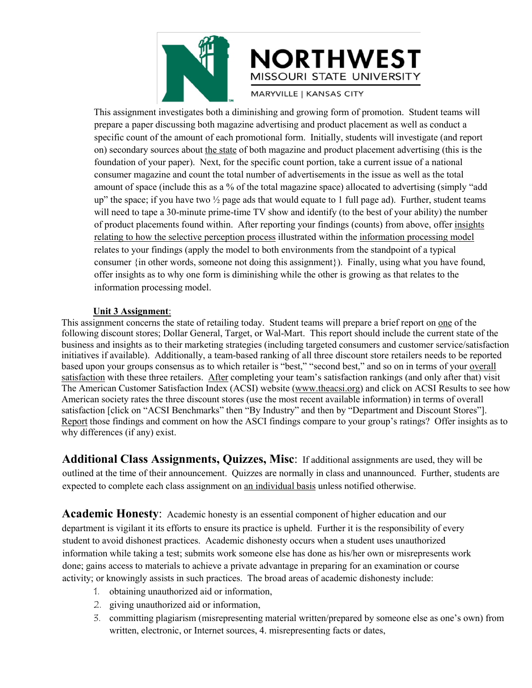

MISSOURI STATE UNIVERSITY<br>This assignment investigates both a diminishing and growing form of promotion. Student teams will<br>prepare a paper discussing both magazine advertising and product placement as well as conduct a<br>sp MISSOURI STATE UNIVERSITY<br>This assignment investigates both a diminishing and growing form of promotion. Student teams will<br>prepare a paper discussing both magazine advertising and product placement as well as conduct a<br>sp SPECIFIC MISSOURI STATE UNIVERSITY<br>
MISSOURI STATE UNIVERSITY<br>
This assignment investigates both a diminishing and growing form of promotion. Student teams will<br>
prepare a paper discussing both magazine advertising and pro **EXT MUNITE STRATE UNIVERSITY**<br>
MISSOURI STATE UNIVERSITY<br>
This assignment investigates both a diminishing and growing form of promotion. Student teams will<br>
prepartic count of the amount of each promotional form. Initiall MISSOURI STATE UNIVERSITY<br>
MISSOURI STATE UNIVERSITY<br>
This assignment investigates both a diminishing and growing form of promotion. Student teams will<br>
prepare a paper discussing both magazine advertising and product plac CORTHWEST<br>
MISSOURI STATE UNIVERSITY<br>
This assignment investigates both a diminishing and growing form of promotion. Student teams will<br>
prepare a paper discussing both magazine advertising and product placement as well as **EXTREST MISSOURI STATE UNIVERSITY**<br>
This assignment investigates both a diminishing and growing form of promotion. Student teams will<br>
prepare a paper discussing both magazine advertising and product placement as well as **EVALUATE MENTATE UNIVERSITY**<br>
INSSOURI STATE UNIVERSITY<br>
This assignment investigates both a diminishing and growing form of promotion. Student teams will<br>
prepare a paper discussing both magazine advertising and product MISSOURI STATE UNIVERSITY<br>
This assignment investigates both a diminishing and growing form of promotion. Student teams will<br>
prepare a paper discussing both magazine advertising and product placement as well as conduct a<br> **Example 18 Constant investigates both a diminishing and growing form of promotion. Student teams will prepare a paper discussing both magazine advertising and product placement as well as conduct a specific count of the a** This assignment investigates both a diminishing and growing form of prement as well as conduct a prepare a paper discussing both magazine advertising and product placement as well as conduct a specific count of the amount This assignment investigates both a diminishing and growing form of promotion. Student teams will<br>prepare a paper discussing both magazine advertising and product placement as well as conduct a<br>specific count of the amount prepare a paper discussing both magazine advertising and product placement as well as conduct a<br>specific count of the amount of each promotional form. Initially, students will investigate (and report<br>on) secondary sources specific count of the amount of each promotional form. Initially, students will investigate (and report<br>on) secondary sources about <u>the state</u> of both magazine and product placement advertising (this is the<br>foundation of on) secondary sources about <u>the state</u> of both magazine and proundation of your paper). Next, for the specific count portion consumer magazine and count the total number of advertiseme amount of space (include this as a % consumer magazine and count the total numbe<br>amount of space (include this as a % of the tot<br>up" the space; if you have two  $\frac{1}{2}$  page ads tha<br>will need to tape a 30-minute prime-time TV s<br>of product placements found wi amount of space (include this as a % of the total magazine space) allocated to advertising (simply "add<br>up" the space; if you have two 1/2 page ads that would equate to 1 full page ad). Further, student teams<br>will need to following discount stores; This appear to the variable to the store in the store of the store of product placements found within. After reporting your findings (counts) from above, offer insights relating to how the selec business and insights and word varying and word variable to 1 and page and with the set of your ability) the humber<br>of product placements found within. After reporting your findings (counts) from above, offer <u>insights</u><br>re

win recul to the ava-binning pim-allim is throw and dentity (to the least of your about a pim-based row offer insights relating to how the selective perception process illustrated within the <u>information processing model</u> of product placements found within. After reporting your finding is counts) from above, ofter <u>insights</u><br>
relating to how the selective perception process illustrated within the information processing model<br>
relates to you relating to how the selective perception process illustrated within the <u>information processing model</u><br>
relates to your findings (apply the model to both environments from the standpoint of a typical<br>
consumer (in other wo relates to your findings (apply the model to both environments from the standpoint of a typical<br>consumer (in other words, someone not doing this assignment)). Finally, using what you have found,<br>offer insights as to why on consumer {in other words, someone not doing this assignment}). Finally, using what you have found,<br>offer insights as to why one form is diminishing while the other is growing as that relates to the<br>information processing offer insights as to why one form is diminishing while the other is growing as that relates to the<br>information processing model.<br>This assignment concerns the state of retailing today. Student teams will prepare a brief rep information processing model.<br> **Example 12** and comments of anti-claude of the following discount stores; Dollar General, Target, or Wal-Mart. This report should include the current state of the following discount stores; **Initially assument:**<br> **Which is assignment:**<br>
This assignment concerns the state of retailing today. Student to<br>
following discount stores; Dollar General, Target, or Wal-Mart.<br>
business and insights as to their marketing of the state of the state of relationships will be the state of redaction information processing model.<br> **Linit 3 Assignment** concerns the state of retailing today. Student teams will prepare a brief report on one of the f following discount stores; Dollar General, Target, or Wal-Mart. This report should include the current state of the business and insights as to their marketing strategies (including targeted consumers and customer service/ business and insights as to their marketing strategies (including targeted consumers and customer service/satisfaction<br>initiatives if available). Additionally, a team-based ranking of all three discount store retailers nee following discount stores; Dollar General, Target, or Wal-Mart. This report should include the current state of the<br>business and insights as to their marketing strategies (including targeted consumers and customer service/

The American Customer Satisfaction Index (ACSI) website (<u>www.theacsi.org</u>) and click on ACSI Results to see how<br>American society rates the three discount stores (use the most recent available information) in terms of over American society rates the three discount stores (use the most recent available information) in terms of overall<br>statisfaction [citok on "ACSI Benchmarks" then "By Industry" and then by "Department and Discount Stores"].<br>R Example of "ACSI Benemmarks" then "By maustry" and then by "Department and Discount Stores" J.<br>Report those findings and comment on how the ASCI findings compare to your group's ratings? Offer insights as to<br>why difference More information and comment of now the ASCI intuiting compare to your group statings? One insignts as to why differences (if any) exist.<br> **Additional Class Assignments, Quizzes, Misc**: If additional assignments are used, Any anticulated (if any) extractively (if any) extractively assignments, Quizzes, Misc: If additional assignments are used, they will be outlined at the time of their announcement. Quizzes are normally in class and unannou **CONTRET CONTRET SUBMALE CONTRETT:** The vertical assign at the time of their announcement. Quizzes are normally in class and unit to complete each class assignment on <u>an individual basis</u> unless notified **mic Honesty**: Ac 2. giving unauthorized aid or information,<br>and the broadcast and to complete each class assignment on <u>an individual basis</u> unless notif<br>to complete each class assignment on <u>an individual basis</u> unless notif<br>**mic Honesty** at the time of their almountenent. Quizzes are normany in class and unamounced. Tuttinet, students are to complete each class assignment on <u>an individual basis</u> unless notified otherwise.<br> **mic Honesty**: Academic honesty **E Honesty**: Academic honesty is an essential component of higher education and our svigilant it its efforts to ensure its practice is upheld. Further it is the responsibility of every orid dishonest practices. Academic di

- 
- 
-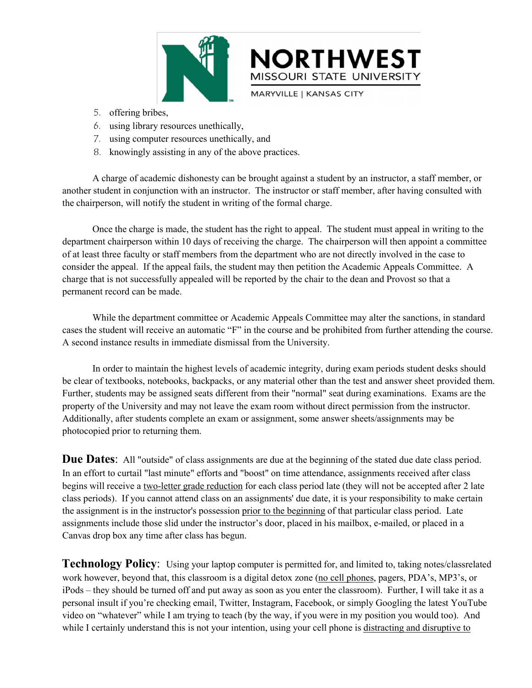

- 
- 
- 
- 

**EXAMPLE SPRIM AND AND ART AND ART AND ARRY MUSSOURI STATE UNIVERSIT**<br>
S. offering bribes,<br>
6. using ilbrary resources unethically,<br>
7. using computer resources unethically, and<br>
8. knowingly assisting in any of the above MINUTEST<br>
MISSOURI STATE UNIVERSITY<br>
S. offering bribes,<br>
6. using library resources unethically,<br>
7. using computer resources unethically, and<br>
8. knowingly assisting in any of the above practices.<br>
A charge of academic d **EXECUTE IS MISSOURI STATE UNIVERSITY**<br>
5. offering bribes,<br>
6. using idipary resources unethically,<br>
7. using idipary resources unethically, and<br>
8. knowingly assisting in any of the above practices.<br>
A charge of academic MISSOURI STATE UNIVERSITY<br>
5. offering bribes,<br>
6. using library resources unethically,<br>
7. using computer resources unethically, and<br>
8. knowingly assisting in any of the above practices.<br>
A charge of academic dishonesty

MARYVILLE | KANSAS CITY<br>
5. offering bribes,<br>
6. using library resources unethically,<br>
7. using computer resources unethically, and<br>
8. knowingly assisting in any of the above practices.<br>
A charge of academic dishonesty ca 5. offering bribes,<br>
6. using library resources unethically,<br>
7. using computer resources unethically, and<br>
8. knowingly assisting in any of the above practices.<br>
A charge of academic dishonesty can be brought against a st b. oftering bribes,<br>
6. using computer resources unethically, and<br>
7. using computer resources unethically, and<br>
8. knowingly assisting in any of the above practices.<br>
A charge of academic dishonesty can be brought against 6. using library resources unethically,<br>
7. using computer resources unethically, and<br>
8. knowingly assisting in any of the above practices.<br>
A charge of academic dishonesty can be brought against a student by an instructo 7. using computer resources unethically, and<br>
8. knowingly assisting in any of the above practices.<br>
A charge of academic dishonesty can be brought against a student by an instructor, a staff member, or<br>
another student in 8. knowingly assisting in any of the above practices.<br>A charge of academic dishonesty can be brought against<br>another student in conjunction with an instructor. The instructor<br>the chairperson, will notify the student in wri A charge of academic dishonesty can be brought against a student by an instructor, a staff member, or student in conjunction with an instructor. The instructor or staff member, after having consulted with reperson, will no another student in conjunction with an instructor. The instructor or staff member, after having consulted with<br>the chairperson, will notify the student in writing of the formal charge.<br>Once the charge is made, the student the chairperson, will notify the student in writing of the formal charge.<br>
Once the charge is made, the student has the right to appeal. The student must appeal in w<br>
department chairperson within 10 days of receiving the Once the charge is made, the student has the right to appeal. The student must appeal in writing to the<br>ent chairperson within 10 days of receiving the charge. The chairperson will then appoint a committee<br>ts three faculty

department chairperson within 10 days of receiving the charge. The chairperson will then appoint a committee<br>of at least three faculty or staff members from the department who are not directly involved in the case to<br>consi of at least three faculty or staff members from the department who are not directly involved in the case to consider the appeal. If the appeal fails, the student may then petition the Academic Appeals Committee. A charge t consider the appeal. If the appeal fails, the student may then petition the Academic Appeals Committee. A charge that is not successfully appealed will be reported by the chair to the dean and Provost so that a permanent r charge that is not successfully appealed will be reported by the chair to the dean and Provost so that a<br>permanent record can be made.<br>While the department committee or Academic Appeals Committee may alter the sanctions, i permanent record can be made.<br>
While the department committee or Academic Appeals Comm<br>
cases the student will receive an automatic "F" in the course and be pi<br>
A second instance results in immediate dismissal from the Uni charge that is not successfully appealed will be reported by the chair to the dean and Provost so that a<br>permanent record can be made.<br>While the department committee or Academic Appeals Committee may alter the sanctions, i Example of the state of the curtain interest and the state minute of the state minute of the state minute of the state minute of the California of the California of the California on the California of the California of the

A second instance results in immediate dismissal from the University.<br>
In order to maintain the highest levels of academic integrity, during exam periods student desks should<br>
be clear of textbooks, notebooks, backpacks, o In order to maintain the highest levels of academic integrity, during exam periods student desks should<br>be clear of textbooks, notebooks, backpacks, or any material other than the test and answer sheet provided them.<br>Furth In order to manitain the highest levels of academic integrity, during exam periods student desks should<br>be clear of extroboks, notebooks, backpacks, or any material of their than the test and answer sheet provided them.<br>Fu be clear of textbooks, backpacks, or any material other than the test and answer sheet provided them.<br>Further, students may be assigned seats different from their "normal" seat during examinations. Exams are the<br>Further, s Further, students may be assigned seats different from their "normal" seat during<br>property of the University and may not leave the exam room without direct perm<br>Additionally, after students complete an exam or assignment, **Technology Policy**: Using your laptop computer is permitted for, and answer sheet on the two states and a more than the test and answer sheet some the property of the University and may not leave the exam room without dir **Due Dates:** All "outside" of class assignments are due at the beginning of the stated due date class period.<br>In an effort to curtail "last minute" efforts and "boost" on time attendance, assignments received after class<br>b **Due Dates:** All "outside" of class assignments are due at the beginning of the stated due date class period.<br>In an effort to curtail "last minute" efforts and "boost" on time attendance, assignments received after class<br>b **Duce Dates.** An outside of class assignments are due at the beginning of the stated due date class period.<br>In an effort to curtail "last minute" efforts and "boost" on time attendance, assignments received after class<br>be

In an ethort to curtail "last minute" ethorts and "boost" on time attendance, assignments received after class<br>begins will receive a two-letter grade reduction for each class period late (they will not be accepted after 2 begins will receive a <u>two-letter grade reduction</u> for each class period late (they will not be accepted after 2 late<br>class periods). If you cannot attend class on an assignment's 'due date, it is your responsibility to ma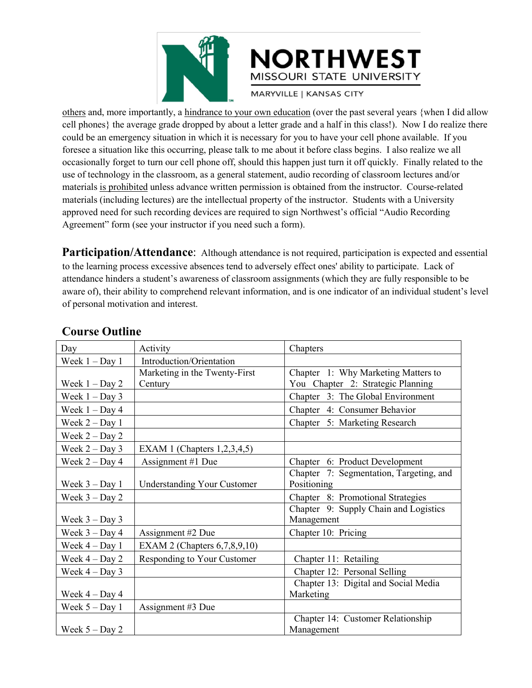

**EXT**<br>
MISSOURI STATE UNIVERSITY<br>
MARYVILLE | KANSAS CITY<br>
COLORISTY<br>
COLORISTY MARYVILLE | KANSAS CITY<br>
COLORISTY<br>
COLORISTY<br>
COLORISTY<br>
COLORISTY<br>
COLORISTY<br>
COLORISTY<br>
COLORISTY<br>
COLORISTY<br>
COLORISTY<br>
COLORISTY<br>
COLORIS CORTHWEST<br>
MISSOURI STATE UNIVERSITY<br>
MARYVILLE | KANSAS CITY<br>
Cell phones} the average grade dropped by about a letter grade and a half in this class!). Now I do realize there<br>
could be an emergency situation in which it CORTHWEST<br>
MISSOURI STATE UNIVERSITY<br>
MISSOURI STATE UNIVERSITY<br>
MISSOURI STATE UNIVERSITY<br>
Could be an emergency situation in which it is necessary for you to have your cell phone available. If you<br>
forese a situation lik MISSOURI STATE UNIVERSITY<br>
MISSOURI STATE UNIVERSITY<br>
MARYVILLE | KANSAS CITY<br>
COLORISTATE UNIVERSITY<br>
Colorese a situation like this occurring, please talk to me about it before class begins. I also realize there<br>
could b **CORTHWEST MISSOURI STATE UNIVERSITY**<br>
MISSOURI STATE UNIVERSITY<br>
MARYVILLE | KANSAS CITY<br>
cell phones the average grade dropped by about a letter grade and a half in this class!). Now I do realize there<br>
could be an emerg MISSOURI STATE UNIVERSITY<br>
others and, more importantly, a hindrance to your own education (over the past several years {when I did allow<br>
cell phones} the average grade dropped by about a letter grade and a half in this c MISSOURI STATE UNIVERSITY<br>
MISSOURI STATE UNIVERSITY<br>
others and, more importantly, a <u>hindrance to your own education</u> (over the past several years {when I did allow<br>
cell phones} the average grade dropped by about a lett MISSOURI STATE UNIVERSITY<br>
others and, more importantly, a hindrance to your own education (over the past several years {when I did allow<br>
cell phones} the average grade dropped by about a letter grade and a half in this c MISSOURI STATE UNIVERSITY<br>
mare to your own education (over the past several years {when I did allow<br>
cell phones} the average grade dropped by about a letter grade and a half in this class!). Now I do realize there<br>
could MARYVILLE | KANSAS CITY<br>
others and, more importantly, a hindrance to your own education (over the past several years {w<br>
cell phones} the average grade dropped by about a letter grade and a half in this class!). Now I a<br> others and, more importantly, a hindrance to your own education (over the past several years {when I did allow<br>cell phones} the average grade dropped by about a letter grade and a half in this class!). Now I do realize the cell phones) the average grade dropped by about a letter grade and a half in this class!). Now 1 do realize there could be an emergincy situation in which it is necessary for you to have your cell phone available. If you b could be an emergency situation in which it is necessary for you to have your cell phone available. If you<br>foresee a situation like this occurring, please talk to me about it before class begins. I also realize we all<br>occa foresee a situation like this occurring, please talk to me about it before class begins. I also realize we all<br>occasionally forget to turn our cell phone off, should this happen just turn it off quickly. Finally related to occasionally forget to turn our cell phone off, should this happen ju<br>sue of technology in the classroom, as a general statement, audio r<br>materials <u>is prohibited</u> unless advance written permission is obtain<br>materials (inc foresee a situation like this occurring, please talk to me aborocasionally forget to turn our cell phone off, should this ha use of technology in the classroom, as a general statement, a materials <u>is prohibited</u> unless ad

|                                      |                                    | Participation/Attendance: Although attendance is not required, participation is expected and essential             |  |
|--------------------------------------|------------------------------------|--------------------------------------------------------------------------------------------------------------------|--|
|                                      |                                    | to the learning process excessive absences tend to adversely effect ones' ability to participate. Lack of          |  |
|                                      |                                    | attendance hinders a student's awareness of classroom assignments (which they are fully responsible to be          |  |
|                                      |                                    | aware of), their ability to comprehend relevant information, and is one indicator of an individual student's level |  |
| of personal motivation and interest. |                                    |                                                                                                                    |  |
|                                      |                                    |                                                                                                                    |  |
| <b>Course Outline</b>                |                                    |                                                                                                                    |  |
| Day                                  | Activity                           | Chapters                                                                                                           |  |
| Week $1 - Day 1$                     | Introduction/Orientation           |                                                                                                                    |  |
|                                      | Marketing in the Twenty-First      | Chapter 1: Why Marketing Matters to                                                                                |  |
| Week $1 - Day 2$                     | Century                            | You Chapter 2: Strategic Planning                                                                                  |  |
| Week $1 - Day 3$                     |                                    | Chapter 3: The Global Environment                                                                                  |  |
| Week $1 - Day 4$                     |                                    | Chapter 4: Consumer Behavior                                                                                       |  |
| Week $2 - Day 1$                     |                                    | Chapter 5: Marketing Research                                                                                      |  |
| Week $2 - Day 2$                     |                                    |                                                                                                                    |  |
| Week $2 - Day 3$                     | EXAM 1 (Chapters $1,2,3,4,5$ )     |                                                                                                                    |  |
| Week $2 - Day 4$                     | Assignment #1 Due                  | Chapter 6: Product Development                                                                                     |  |
|                                      |                                    | Chapter 7: Segmentation, Targeting, and                                                                            |  |
| Week $3 - Day 1$                     | <b>Understanding Your Customer</b> | Positioning                                                                                                        |  |
| Week $3 - Day 2$                     |                                    | Chapter 8: Promotional Strategies                                                                                  |  |
| Week $3 - Day 3$                     |                                    | Chapter 9: Supply Chain and Logistics<br>Management                                                                |  |
| Week $3 - Day 4$                     | Assignment #2 Due                  | Chapter 10: Pricing                                                                                                |  |
| Week $4 - Day 1$                     | EXAM 2 (Chapters 6,7,8,9,10)       |                                                                                                                    |  |
| Week $4 - Day 2$                     | Responding to Your Customer        | Chapter 11: Retailing                                                                                              |  |
| Week $4 - Day 3$                     |                                    | Chapter 12: Personal Selling                                                                                       |  |
|                                      |                                    | Chapter 13: Digital and Social Media                                                                               |  |
| Week $4 - Day 4$                     |                                    | Marketing                                                                                                          |  |
| Week $5 - Day 1$                     | Assignment #3 Due                  |                                                                                                                    |  |
|                                      |                                    | Chapter 14: Customer Relationship                                                                                  |  |
| Week $5 - Day 2$                     |                                    | Management                                                                                                         |  |